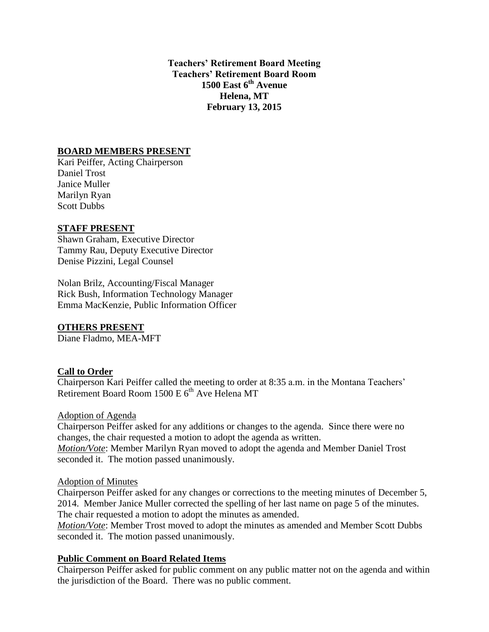**Teachers' Retirement Board Meeting Teachers' Retirement Board Room 1500 East 6th Avenue Helena, MT February 13, 2015**

### **BOARD MEMBERS PRESENT**

Kari Peiffer, Acting Chairperson Daniel Trost Janice Muller Marilyn Ryan Scott Dubbs

#### **STAFF PRESENT**

Shawn Graham, Executive Director Tammy Rau, Deputy Executive Director Denise Pizzini, Legal Counsel

Nolan Brilz, Accounting/Fiscal Manager Rick Bush, Information Technology Manager Emma MacKenzie, Public Information Officer

### **OTHERS PRESENT**

Diane Fladmo, MEA-MFT

### **Call to Order**

Chairperson Kari Peiffer called the meeting to order at 8:35 a.m. in the Montana Teachers' Retirement Board Room  $1500 E 6<sup>th</sup>$  Ave Helena MT

#### Adoption of Agenda

Chairperson Peiffer asked for any additions or changes to the agenda. Since there were no changes, the chair requested a motion to adopt the agenda as written. *Motion/Vote*: Member Marilyn Ryan moved to adopt the agenda and Member Daniel Trost

seconded it. The motion passed unanimously.

#### Adoption of Minutes

Chairperson Peiffer asked for any changes or corrections to the meeting minutes of December 5, 2014. Member Janice Muller corrected the spelling of her last name on page 5 of the minutes. The chair requested a motion to adopt the minutes as amended.

*Motion/Vote*: Member Trost moved to adopt the minutes as amended and Member Scott Dubbs seconded it. The motion passed unanimously.

#### **Public Comment on Board Related Items**

Chairperson Peiffer asked for public comment on any public matter not on the agenda and within the jurisdiction of the Board. There was no public comment.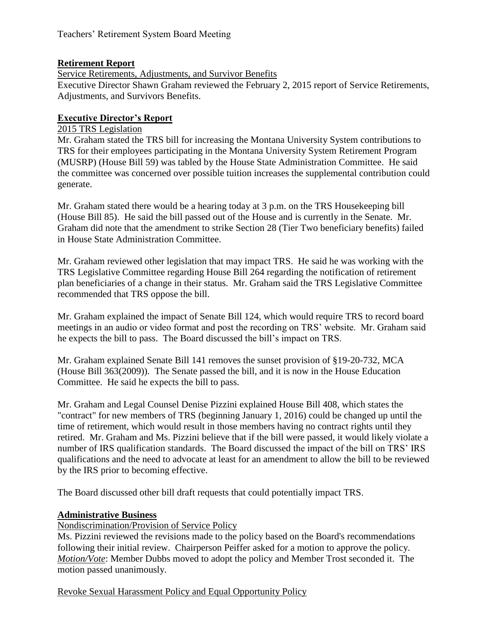## **Retirement Report**

Service Retirements, Adjustments, and Survivor Benefits

Executive Director Shawn Graham reviewed the February 2, 2015 report of Service Retirements, Adjustments, and Survivors Benefits.

## **Executive Director's Report**

### 2015 TRS Legislation

Mr. Graham stated the TRS bill for increasing the Montana University System contributions to TRS for their employees participating in the Montana University System Retirement Program (MUSRP) (House Bill 59) was tabled by the House State Administration Committee. He said the committee was concerned over possible tuition increases the supplemental contribution could generate.

Mr. Graham stated there would be a hearing today at 3 p.m. on the TRS Housekeeping bill (House Bill 85). He said the bill passed out of the House and is currently in the Senate. Mr. Graham did note that the amendment to strike Section 28 (Tier Two beneficiary benefits) failed in House State Administration Committee.

Mr. Graham reviewed other legislation that may impact TRS. He said he was working with the TRS Legislative Committee regarding House Bill 264 regarding the notification of retirement plan beneficiaries of a change in their status. Mr. Graham said the TRS Legislative Committee recommended that TRS oppose the bill.

Mr. Graham explained the impact of Senate Bill 124, which would require TRS to record board meetings in an audio or video format and post the recording on TRS' website. Mr. Graham said he expects the bill to pass. The Board discussed the bill's impact on TRS.

Mr. Graham explained Senate Bill 141 removes the sunset provision of §19-20-732, MCA (House Bill 363(2009)). The Senate passed the bill, and it is now in the House Education Committee. He said he expects the bill to pass.

Mr. Graham and Legal Counsel Denise Pizzini explained House Bill 408, which states the "contract" for new members of TRS (beginning January 1, 2016) could be changed up until the time of retirement, which would result in those members having no contract rights until they retired. Mr. Graham and Ms. Pizzini believe that if the bill were passed, it would likely violate a number of IRS qualification standards. The Board discussed the impact of the bill on TRS' IRS qualifications and the need to advocate at least for an amendment to allow the bill to be reviewed by the IRS prior to becoming effective.

The Board discussed other bill draft requests that could potentially impact TRS.

### **Administrative Business**

Nondiscrimination/Provision of Service Policy

Ms. Pizzini reviewed the revisions made to the policy based on the Board's recommendations following their initial review. Chairperson Peiffer asked for a motion to approve the policy. *Motion/Vote*: Member Dubbs moved to adopt the policy and Member Trost seconded it. The motion passed unanimously.

Revoke Sexual Harassment Policy and Equal Opportunity Policy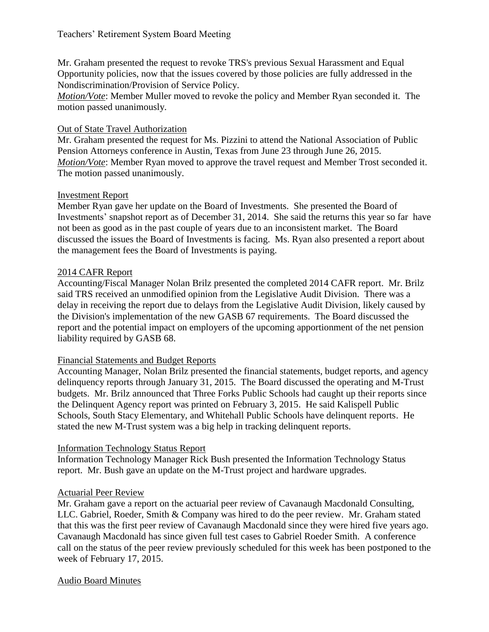Mr. Graham presented the request to revoke TRS's previous Sexual Harassment and Equal Opportunity policies, now that the issues covered by those policies are fully addressed in the Nondiscrimination/Provision of Service Policy.

*Motion/Vote*: Member Muller moved to revoke the policy and Member Ryan seconded it. The motion passed unanimously.

### Out of State Travel Authorization

Mr. Graham presented the request for Ms. Pizzini to attend the National Association of Public Pension Attorneys conference in Austin, Texas from June 23 through June 26, 2015. *Motion/Vote*: Member Ryan moved to approve the travel request and Member Trost seconded it. The motion passed unanimously.

## Investment Report

Member Ryan gave her update on the Board of Investments. She presented the Board of Investments' snapshot report as of December 31, 2014. She said the returns this year so far have not been as good as in the past couple of years due to an inconsistent market. The Board discussed the issues the Board of Investments is facing. Ms. Ryan also presented a report about the management fees the Board of Investments is paying.

## 2014 CAFR Report

Accounting/Fiscal Manager Nolan Brilz presented the completed 2014 CAFR report. Mr. Brilz said TRS received an unmodified opinion from the Legislative Audit Division. There was a delay in receiving the report due to delays from the Legislative Audit Division, likely caused by the Division's implementation of the new GASB 67 requirements. The Board discussed the report and the potential impact on employers of the upcoming apportionment of the net pension liability required by GASB 68.

### Financial Statements and Budget Reports

Accounting Manager, Nolan Brilz presented the financial statements, budget reports, and agency delinquency reports through January 31, 2015. The Board discussed the operating and M-Trust budgets. Mr. Brilz announced that Three Forks Public Schools had caught up their reports since the Delinquent Agency report was printed on February 3, 2015. He said Kalispell Public Schools, South Stacy Elementary, and Whitehall Public Schools have delinquent reports. He stated the new M-Trust system was a big help in tracking delinquent reports.

# Information Technology Status Report

Information Technology Manager Rick Bush presented the Information Technology Status report. Mr. Bush gave an update on the M-Trust project and hardware upgrades.

# Actuarial Peer Review

Mr. Graham gave a report on the actuarial peer review of Cavanaugh Macdonald Consulting, LLC. Gabriel, Roeder, Smith & Company was hired to do the peer review. Mr. Graham stated that this was the first peer review of Cavanaugh Macdonald since they were hired five years ago. Cavanaugh Macdonald has since given full test cases to Gabriel Roeder Smith. A conference call on the status of the peer review previously scheduled for this week has been postponed to the week of February 17, 2015.

### Audio Board Minutes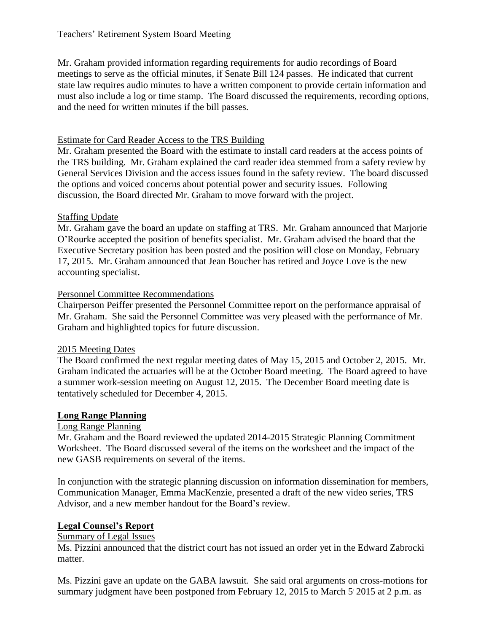Mr. Graham provided information regarding requirements for audio recordings of Board meetings to serve as the official minutes, if Senate Bill 124 passes. He indicated that current state law requires audio minutes to have a written component to provide certain information and must also include a log or time stamp. The Board discussed the requirements, recording options, and the need for written minutes if the bill passes.

## Estimate for Card Reader Access to the TRS Building

Mr. Graham presented the Board with the estimate to install card readers at the access points of the TRS building. Mr. Graham explained the card reader idea stemmed from a safety review by General Services Division and the access issues found in the safety review. The board discussed the options and voiced concerns about potential power and security issues. Following discussion, the Board directed Mr. Graham to move forward with the project.

# Staffing Update

Mr. Graham gave the board an update on staffing at TRS. Mr. Graham announced that Marjorie O'Rourke accepted the position of benefits specialist. Mr. Graham advised the board that the Executive Secretary position has been posted and the position will close on Monday, February 17, 2015. Mr. Graham announced that Jean Boucher has retired and Joyce Love is the new accounting specialist.

## Personnel Committee Recommendations

Chairperson Peiffer presented the Personnel Committee report on the performance appraisal of Mr. Graham. She said the Personnel Committee was very pleased with the performance of Mr. Graham and highlighted topics for future discussion.

# 2015 Meeting Dates

The Board confirmed the next regular meeting dates of May 15, 2015 and October 2, 2015. Mr. Graham indicated the actuaries will be at the October Board meeting. The Board agreed to have a summer work-session meeting on August 12, 2015. The December Board meeting date is tentatively scheduled for December 4, 2015.

# **Long Range Planning**

### Long Range Planning

Mr. Graham and the Board reviewed the updated 2014-2015 Strategic Planning Commitment Worksheet. The Board discussed several of the items on the worksheet and the impact of the new GASB requirements on several of the items.

In conjunction with the strategic planning discussion on information dissemination for members, Communication Manager, Emma MacKenzie, presented a draft of the new video series, TRS Advisor, and a new member handout for the Board's review.

# **Legal Counsel's Report**

### Summary of Legal Issues

Ms. Pizzini announced that the district court has not issued an order yet in the Edward Zabrocki matter.

Ms. Pizzini gave an update on the GABA lawsuit. She said oral arguments on cross-motions for summary judgment have been postponed from February 12, 2015 to March 5  $2015$  at 2 p.m. as